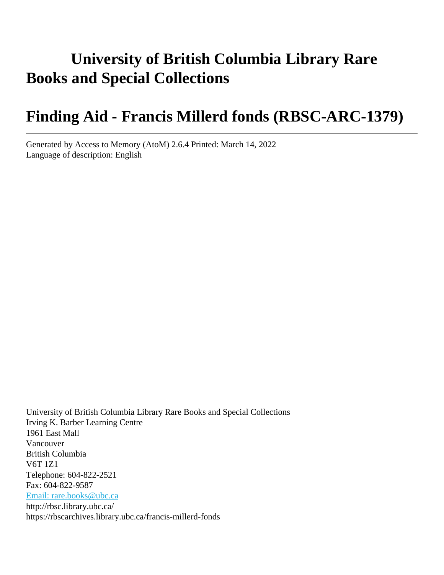# **University of British Columbia Library Rare Books and Special Collections**

# **Finding Aid - Francis Millerd fonds (RBSC-ARC-1379)**

Generated by Access to Memory (AtoM) 2.6.4 Printed: March 14, 2022 Language of description: English

University of British Columbia Library Rare Books and Special Collections Irving K. Barber Learning Centre 1961 East Mall Vancouver British Columbia V6T 1Z1 Telephone: 604-822-2521 Fax: 604-822-9587 [Email: rare.books@ubc.ca](mailto:Email: rare.books@ubc.ca) http://rbsc.library.ubc.ca/ https://rbscarchives.library.ubc.ca/francis-millerd-fonds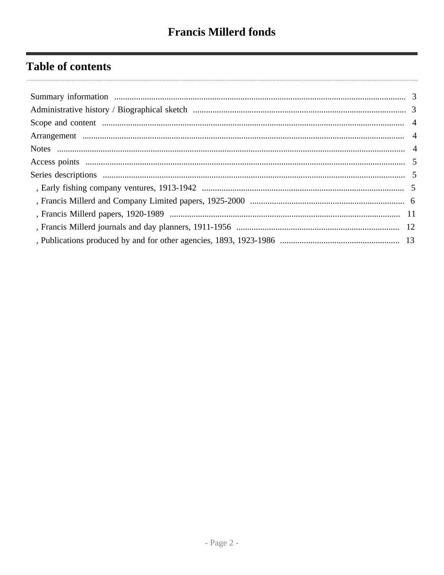## **Table of contents**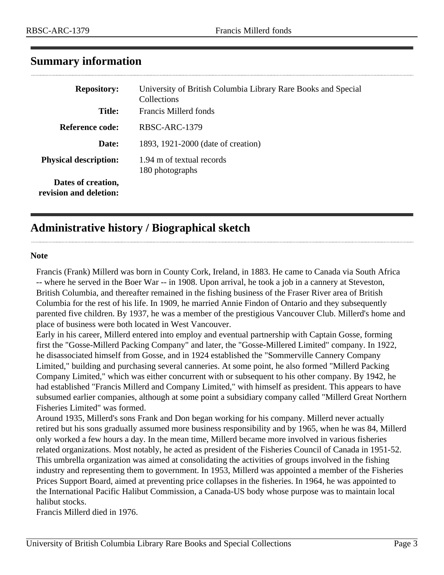| <b>Repository:</b>                           | University of British Columbia Library Rare Books and Special<br>Collections |
|----------------------------------------------|------------------------------------------------------------------------------|
| <b>Title:</b>                                | Francis Millerd fonds                                                        |
| Reference code:                              | RBSC-ARC-1379                                                                |
| Date:                                        | 1893, 1921-2000 (date of creation)                                           |
| <b>Physical description:</b>                 | 1.94 m of textual records<br>180 photographs                                 |
| Dates of creation,<br>revision and deletion: |                                                                              |

## <span id="page-2-0"></span>**Summary information**

## <span id="page-2-1"></span>**Administrative history / Biographical sketch**

#### **Note**

 $\ddotsc$ 

Francis (Frank) Millerd was born in County Cork, Ireland, in 1883. He came to Canada via South Africa -- where he served in the Boer War -- in 1908. Upon arrival, he took a job in a cannery at Steveston, British Columbia, and thereafter remained in the fishing business of the Fraser River area of British Columbia for the rest of his life. In 1909, he married Annie Findon of Ontario and they subsequently parented five children. By 1937, he was a member of the prestigious Vancouver Club. Millerd's home and place of business were both located in West Vancouver.

Early in his career, Millerd entered into employ and eventual partnership with Captain Gosse, forming first the "Gosse-Millerd Packing Company" and later, the "Gosse-Millered Limited" company. In 1922, he disassociated himself from Gosse, and in 1924 established the "Sommerville Cannery Company Limited," building and purchasing several canneries. At some point, he also formed "Millerd Packing Company Limited," which was either concurrent with or subsequent to his other company. By 1942, he had established "Francis Millerd and Company Limited," with himself as president. This appears to have subsumed earlier companies, although at some point a subsidiary company called "Millerd Great Northern Fisheries Limited" was formed.

Around 1935, Millerd's sons Frank and Don began working for his company. Millerd never actually retired but his sons gradually assumed more business responsibility and by 1965, when he was 84, Millerd only worked a few hours a day. In the mean time, Millerd became more involved in various fisheries related organizations. Most notably, he acted as president of the Fisheries Council of Canada in 1951-52. This umbrella organization was aimed at consolidating the activities of groups involved in the fishing industry and representing them to government. In 1953, Millerd was appointed a member of the Fisheries Prices Support Board, aimed at preventing price collapses in the fisheries. In 1964, he was appointed to the International Pacific Halibut Commission, a Canada-US body whose purpose was to maintain local halibut stocks.

Francis Millerd died in 1976.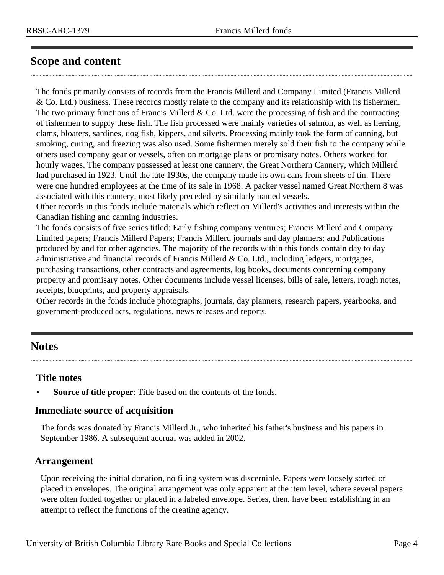## <span id="page-3-0"></span>**Scope and content**

The fonds primarily consists of records from the Francis Millerd and Company Limited (Francis Millerd & Co. Ltd.) business. These records mostly relate to the company and its relationship with its fishermen. The two primary functions of Francis Millerd  $&$  Co. Ltd. were the processing of fish and the contracting of fishermen to supply these fish. The fish processed were mainly varieties of salmon, as well as herring, clams, bloaters, sardines, dog fish, kippers, and silvets. Processing mainly took the form of canning, but smoking, curing, and freezing was also used. Some fishermen merely sold their fish to the company while others used company gear or vessels, often on mortgage plans or promisary notes. Others worked for hourly wages. The company possessed at least one cannery, the Great Northern Cannery, which Millerd had purchased in 1923. Until the late 1930s, the company made its own cans from sheets of tin. There were one hundred employees at the time of its sale in 1968. A packer vessel named Great Northern 8 was associated with this cannery, most likely preceded by similarly named vessels.

Other records in this fonds include materials which reflect on Millerd's activities and interests within the Canadian fishing and canning industries.

The fonds consists of five series titled: Early fishing company ventures; Francis Millerd and Company Limited papers; Francis Millerd Papers; Francis Millerd journals and day planners; and Publications produced by and for other agencies. The majority of the records within this fonds contain day to day administrative and financial records of Francis Millerd & Co. Ltd., including ledgers, mortgages, purchasing transactions, other contracts and agreements, log books, documents concerning company property and promisary notes. Other documents include vessel licenses, bills of sale, letters, rough notes, receipts, blueprints, and property appraisals.

Other records in the fonds include photographs, journals, day planners, research papers, yearbooks, and government-produced acts, regulations, news releases and reports.

## <span id="page-3-2"></span>**Notes**

#### **Title notes**

**Source of title proper**: Title based on the contents of the fonds.

#### **Immediate source of acquisition**

The fonds was donated by Francis Millerd Jr., who inherited his father's business and his papers in September 1986. A subsequent accrual was added in 2002.

#### <span id="page-3-1"></span>**Arrangement**

Upon receiving the initial donation, no filing system was discernible. Papers were loosely sorted or placed in envelopes. The original arrangement was only apparent at the item level, where several papers were often folded together or placed in a labeled envelope. Series, then, have been establishing in an attempt to reflect the functions of the creating agency.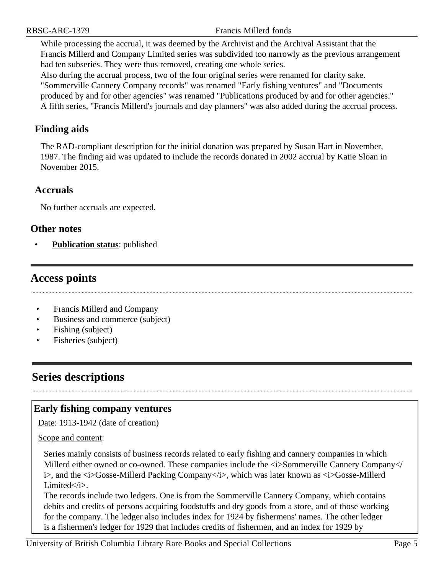While processing the accrual, it was deemed by the Archivist and the Archival Assistant that the Francis Millerd and Company Limited series was subdivided too narrowly as the previous arrangement had ten subseries. They were thus removed, creating one whole series.

Also during the accrual process, two of the four original series were renamed for clarity sake. "Sommerville Cannery Company records" was renamed "Early fishing ventures" and "Documents produced by and for other agencies" was renamed "Publications produced by and for other agencies." A fifth series, "Francis Millerd's journals and day planners" was also added during the accrual process.

### **Finding aids**

The RAD-compliant description for the initial donation was prepared by Susan Hart in November, 1987. The finding aid was updated to include the records donated in 2002 accrual by Katie Sloan in November 2015.

#### **Accruals**

No further accruals are expected.

#### **Other notes**

• **Publication status**: published

## <span id="page-4-0"></span>**Access points**

- Francis Millerd and Company
- Business and commerce (subject)
- Fishing (subject)
- Fisheries (subject)

## <span id="page-4-1"></span>**Series descriptions**

#### <span id="page-4-2"></span>**Early fishing company ventures**

Date: 1913-1942 (date of creation)

#### Scope and content:

Series mainly consists of business records related to early fishing and cannery companies in which Millerd either owned or co-owned. These companies include the  $\langle$ i>Sommerville Cannery Company $\langle$ i>, and the *G*i>Gosse-Millerd Packing Company i>, which was later known as *G*i>Gosse-Millerd Limited</i>.

The records include two ledgers. One is from the Sommerville Cannery Company, which contains debits and credits of persons acquiring foodstuffs and dry goods from a store, and of those working for the company. The ledger also includes index for 1924 by fishermens' names. The other ledger is a fishermen's ledger for 1929 that includes credits of fishermen, and an index for 1929 by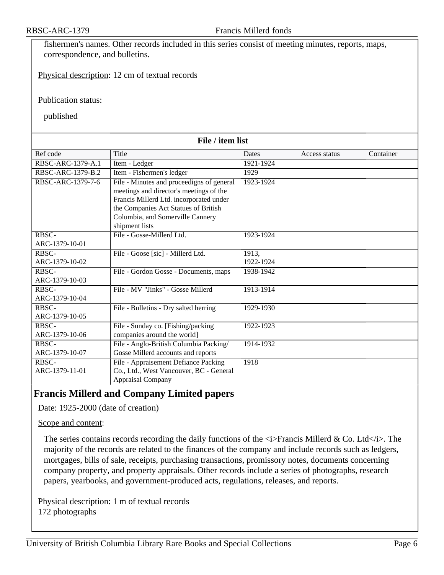fishermen's names. Other records included in this series consist of meeting minutes, reports, maps, correspondence, and bulletins.

Physical description: 12 cm of textual records

Publication status:

published

| File / item list  |                                           |           |               |           |
|-------------------|-------------------------------------------|-----------|---------------|-----------|
| Ref code          | Title                                     | Dates     | Access status | Container |
| RBSC-ARC-1379-A.1 | Item - Ledger                             | 1921-1924 |               |           |
| RBSC-ARC-1379-B.2 | Item - Fishermen's ledger                 | 1929      |               |           |
| RBSC-ARC-1379-7-6 | File - Minutes and proceedigns of general | 1923-1924 |               |           |
|                   | meetings and director's meetings of the   |           |               |           |
|                   | Francis Millerd Ltd. incorporated under   |           |               |           |
|                   | the Companies Act Statues of British      |           |               |           |
|                   | Columbia, and Somerville Cannery          |           |               |           |
|                   | shipment lists                            |           |               |           |
| RBSC-             | File - Gosse-Millerd Ltd.                 | 1923-1924 |               |           |
| ARC-1379-10-01    |                                           |           |               |           |
| RBSC-             | File - Goose [sic] - Millerd Ltd.         | 1913,     |               |           |
| ARC-1379-10-02    |                                           | 1922-1924 |               |           |
| RBSC-             | File - Gordon Gosse - Documents, maps     | 1938-1942 |               |           |
| ARC-1379-10-03    |                                           |           |               |           |
| RBSC-             | File - MV "Jinks" - Gosse Millerd         | 1913-1914 |               |           |
| ARC-1379-10-04    |                                           |           |               |           |
| RBSC-             | File - Bulletins - Dry salted herring     | 1929-1930 |               |           |
| ARC-1379-10-05    |                                           |           |               |           |
| RBSC-             | File - Sunday co. [Fishing/packing        | 1922-1923 |               |           |
| ARC-1379-10-06    | companies around the world]               |           |               |           |
| RBSC-             | File - Anglo-British Columbia Packing/    | 1914-1932 |               |           |
| ARC-1379-10-07    | Gosse Millerd accounts and reports        |           |               |           |
| RBSC-             | File - Appraisement Defiance Packing      | 1918      |               |           |
| ARC-1379-11-01    | Co., Ltd., West Vancouver, BC - General   |           |               |           |
|                   | <b>Appraisal Company</b>                  |           |               |           |

#### <span id="page-5-0"></span>**Francis Millerd and Company Limited papers**

Date: 1925-2000 (date of creation)

#### Scope and content:

The series contains records recording the daily functions of the  $\langle i \rangle$ Francis Millerd & Co. Ltd $\langle i \rangle$ . The majority of the records are related to the finances of the company and include records such as ledgers, mortgages, bills of sale, receipts, purchasing transactions, promissory notes, documents concerning company property, and property appraisals. Other records include a series of photographs, research papers, yearbooks, and government-produced acts, regulations, releases, and reports.

Physical description: 1 m of textual records 172 photographs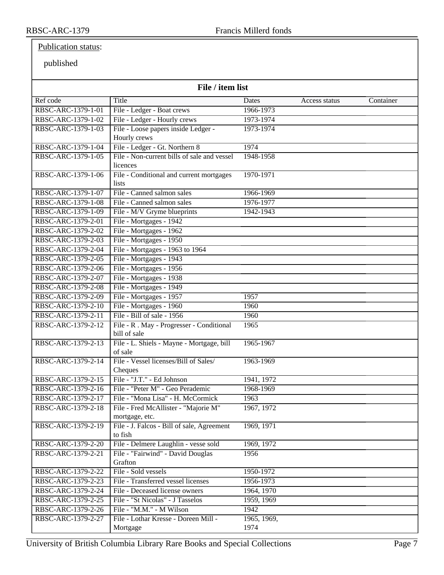#### Publication status:

published

| File / item list   |                                                          |                     |               |           |
|--------------------|----------------------------------------------------------|---------------------|---------------|-----------|
| Ref code           | Title                                                    | Dates               | Access status | Container |
| RBSC-ARC-1379-1-01 | File - Ledger - Boat crews                               | 1966-1973           |               |           |
| RBSC-ARC-1379-1-02 | File - Ledger - Hourly crews                             | 1973-1974           |               |           |
| RBSC-ARC-1379-1-03 | File - Loose papers inside Ledger -                      | 1973-1974           |               |           |
|                    | Hourly crews                                             |                     |               |           |
| RBSC-ARC-1379-1-04 | File - Ledger - Gt. Northern 8                           | 1974                |               |           |
| RBSC-ARC-1379-1-05 | File - Non-current bills of sale and vessel<br>licences  | 1948-1958           |               |           |
| RBSC-ARC-1379-1-06 | File - Conditional and current mortgages<br>lists        | 1970-1971           |               |           |
| RBSC-ARC-1379-1-07 | File - Canned salmon sales                               | 1966-1969           |               |           |
| RBSC-ARC-1379-1-08 | File - Canned salmon sales                               | 1976-1977           |               |           |
| RBSC-ARC-1379-1-09 | File - M/V Gryme blueprints                              | 1942-1943           |               |           |
| RBSC-ARC-1379-2-01 | File - Mortgages - 1942                                  |                     |               |           |
| RBSC-ARC-1379-2-02 | File - Mortgages - 1962                                  |                     |               |           |
| RBSC-ARC-1379-2-03 | File - Mortgages - 1950                                  |                     |               |           |
| RBSC-ARC-1379-2-04 | File - Mortgages - 1963 to 1964                          |                     |               |           |
| RBSC-ARC-1379-2-05 | File - Mortgages - 1943                                  |                     |               |           |
| RBSC-ARC-1379-2-06 | File - Mortgages - 1956                                  |                     |               |           |
| RBSC-ARC-1379-2-07 | File - Mortgages - 1938                                  |                     |               |           |
| RBSC-ARC-1379-2-08 | File - Mortgages - 1949                                  |                     |               |           |
| RBSC-ARC-1379-2-09 | File - Mortgages - 1957                                  | 1957                |               |           |
| RBSC-ARC-1379-2-10 | File - Mortgages - 1960                                  | 1960                |               |           |
| RBSC-ARC-1379-2-11 | File - Bill of sale - 1956                               | 1960                |               |           |
| RBSC-ARC-1379-2-12 | File - R. May - Progresser - Conditional<br>bill of sale | 1965                |               |           |
| RBSC-ARC-1379-2-13 | File - L. Shiels - Mayne - Mortgage, bill<br>of sale     | 1965-1967           |               |           |
| RBSC-ARC-1379-2-14 | File - Vessel licenses/Bill of Sales/<br>Cheques         | 1963-1969           |               |           |
| RBSC-ARC-1379-2-15 | File - "J.T." - Ed Johnson                               | 1941, 1972          |               |           |
| RBSC-ARC-1379-2-16 | File - "Peter M" - Geo Perademic                         | 1968-1969           |               |           |
| RBSC-ARC-1379-2-17 | File - "Mona Lisa" - H. McCormick                        | 1963                |               |           |
| RBSC-ARC-1379-2-18 | File - Fred McAllister - "Majorie M"<br>mortgage, etc.   | 1967, 1972          |               |           |
| RBSC-ARC-1379-2-19 | File - J. Falcos - Bill of sale, Agreement<br>to fish    | 1969, 1971          |               |           |
| RBSC-ARC-1379-2-20 | File - Delmere Laughlin - vesse sold                     | 1969, 1972          |               |           |
| RBSC-ARC-1379-2-21 | File - "Fairwind" - David Douglas                        | 1956                |               |           |
|                    | Grafton                                                  |                     |               |           |
| RBSC-ARC-1379-2-22 | File - Sold vessels                                      | 1950-1972           |               |           |
| RBSC-ARC-1379-2-23 | File - Transferred vessel licenses                       | 1956-1973           |               |           |
| RBSC-ARC-1379-2-24 | File - Deceased license owners                           | 1964, 1970          |               |           |
| RBSC-ARC-1379-2-25 | File - "St Nicolas" - J Tasselos                         | 1959, 1969          |               |           |
| RBSC-ARC-1379-2-26 | File - "M.M." - M Wilson                                 | 1942                |               |           |
| RBSC-ARC-1379-2-27 | File - Lothar Kresse - Doreen Mill -<br>Mortgage         | 1965, 1969,<br>1974 |               |           |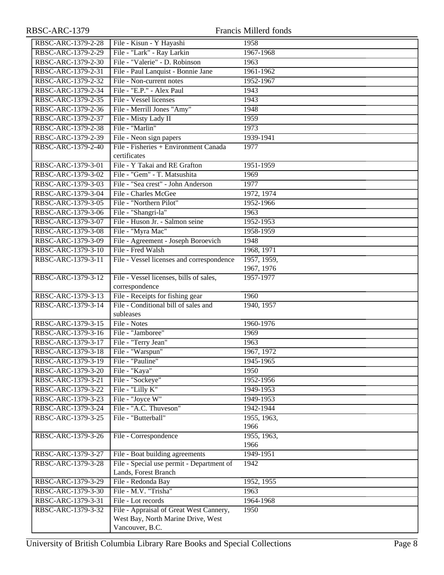| RBSC-ARC-1379      |                                                                   | Francis Millerd fonds |
|--------------------|-------------------------------------------------------------------|-----------------------|
| RBSC-ARC-1379-2-28 | File - Kisun - Y Hayashi                                          | 1958                  |
| RBSC-ARC-1379-2-29 | File - "Lark" - Ray Larkin                                        | 1967-1968             |
| RBSC-ARC-1379-2-30 | File - "Valerie" - D. Robinson                                    | 1963                  |
| RBSC-ARC-1379-2-31 | File - Paul Lanquist - Bonnie Jane                                | 1961-1962             |
| RBSC-ARC-1379-2-32 | File - Non-current notes                                          | 1952-1967             |
| RBSC-ARC-1379-2-34 | File - "E.P." - Alex Paul                                         | 1943                  |
| RBSC-ARC-1379-2-35 | File - Vessel licenses                                            | 1943                  |
| RBSC-ARC-1379-2-36 | File - Merrill Jones "Amy"                                        | 1948                  |
| RBSC-ARC-1379-2-37 | File - Misty Lady II                                              | 1959                  |
| RBSC-ARC-1379-2-38 | File - "Marlin"                                                   | 1973                  |
| RBSC-ARC-1379-2-39 | File - Neon sign papers                                           | 1939-1941             |
| RBSC-ARC-1379-2-40 | File - Fisheries + Environment Canada                             | 1977                  |
|                    | certificates                                                      |                       |
| RBSC-ARC-1379-3-01 | File - Y Takai and RE Grafton                                     | 1951-1959             |
| RBSC-ARC-1379-3-02 | File - "Gem" - T. Matsushita                                      | 1969                  |
| RBSC-ARC-1379-3-03 | File - "Sea crest" - John Anderson                                | 1977                  |
| RBSC-ARC-1379-3-04 | File - Charles McGee                                              | 1972, 1974            |
| RBSC-ARC-1379-3-05 | File - "Northern Pilot"                                           | 1952-1966             |
| RBSC-ARC-1379-3-06 | File - "Shangri-la"                                               | 1963                  |
| RBSC-ARC-1379-3-07 | File - Huson Jr. - Salmon seine                                   | 1952-1953             |
| RBSC-ARC-1379-3-08 | File - "Myra Mac"                                                 | 1958-1959             |
| RBSC-ARC-1379-3-09 | File - Agreement - Joseph Boroevich                               | 1948                  |
| RBSC-ARC-1379-3-10 | File - Fred Walsh                                                 | 1968, 1971            |
| RBSC-ARC-1379-3-11 | File - Vessel licenses and correspondence                         | 1957, 1959,           |
|                    |                                                                   | 1967, 1976            |
| RBSC-ARC-1379-3-12 | File - Vessel licenses, bills of sales,                           | 1957-1977             |
|                    | correspondence                                                    |                       |
| RBSC-ARC-1379-3-13 | File - Receipts for fishing gear                                  | 1960                  |
| RBSC-ARC-1379-3-14 | File - Conditional bill of sales and<br>subleases                 | 1940, 1957            |
| RBSC-ARC-1379-3-15 | File - Notes                                                      | 1960-1976             |
| RBSC-ARC-1379-3-16 | File - "Jamboree"                                                 | 1969                  |
| RBSC-ARC-1379-3-17 | File - "Terry Jean"                                               | 1963                  |
| RBSC-ARC-1379-3-18 | File - "Warspun"                                                  | 1967, 1972            |
| RBSC-ARC-1379-3-19 | File - "Pauline"                                                  | 1945-1965             |
| RBSC-ARC-1379-3-20 | File - "Kaya"                                                     | 1950                  |
| RBSC-ARC-1379-3-21 | File - "Sockeye"                                                  | 1952-1956             |
| RBSC-ARC-1379-3-22 | File - "Lilly K"                                                  | 1949-1953             |
| RBSC-ARC-1379-3-23 | File - "Joyce W"                                                  | 1949-1953             |
| RBSC-ARC-1379-3-24 | File - "A.C. Thuveson"                                            | 1942-1944             |
| RBSC-ARC-1379-3-25 | File - "Butterball"                                               | 1955, 1963,<br>1966   |
| RBSC-ARC-1379-3-26 | File - Correspondence                                             | 1955, 1963,           |
|                    |                                                                   | 1966                  |
| RBSC-ARC-1379-3-27 | File - Boat building agreements                                   | 1949-1951             |
| RBSC-ARC-1379-3-28 | File - Special use permit - Department of<br>Lands, Forest Branch | 1942                  |
| RBSC-ARC-1379-3-29 | File - Redonda Bay                                                | 1952, 1955            |
| RBSC-ARC-1379-3-30 | File - M.V. "Trisha"                                              | 1963                  |
| RBSC-ARC-1379-3-31 | File - Lot records                                                | 1964-1968             |
| RBSC-ARC-1379-3-32 | File - Appraisal of Great West Cannery,                           | 1950                  |
|                    | West Bay, North Marine Drive, West                                |                       |
|                    | Vancouver, B.C.                                                   |                       |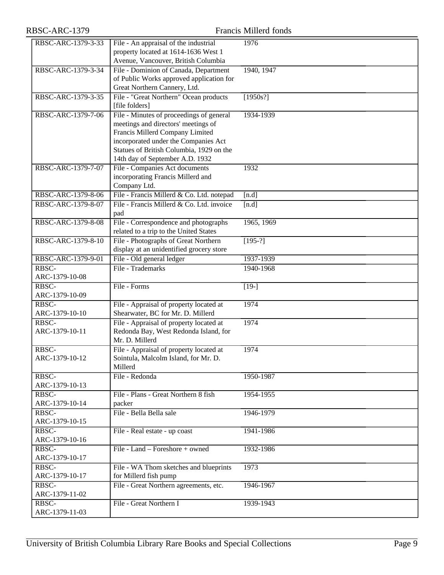# RBSC-ARC-1379 Francis Millerd fonds

| RBSC-ARC-1379-3-33 | File - An appraisal of the industrial     | 1976           |
|--------------------|-------------------------------------------|----------------|
|                    | property located at 1614-1636 West 1      |                |
|                    | Avenue, Vancouver, British Columbia       |                |
| RBSC-ARC-1379-3-34 | File - Dominion of Canada, Department     | 1940, 1947     |
|                    |                                           |                |
|                    | of Public Works approved application for  |                |
|                    | Great Northern Cannery, Ltd.              |                |
| RBSC-ARC-1379-3-35 | File - "Great Northern" Ocean products    | [1950s!]       |
|                    | [file folders]                            |                |
| RBSC-ARC-1379-7-06 | File - Minutes of proceedings of general  | 1934-1939      |
|                    | meetings and directors' meetings of       |                |
|                    | Francis Millerd Company Limited           |                |
|                    | incorporated under the Companies Act      |                |
|                    | Statues of British Columbia, 1929 on the  |                |
|                    | 14th day of September A.D. 1932           |                |
| RBSC-ARC-1379-7-07 | File - Companies Act documents            | 1932           |
|                    | incorporating Francis Millerd and         |                |
|                    | Company Ltd.                              |                |
| RBSC-ARC-1379-8-06 |                                           |                |
|                    | File - Francis Millerd & Co. Ltd. notepad | [n.d]          |
| RBSC-ARC-1379-8-07 | File - Francis Millerd & Co. Ltd. invoice | [n.d]          |
|                    | pad                                       |                |
| RBSC-ARC-1379-8-08 | File - Correspondence and photographs     | 1965, 1969     |
|                    | related to a trip to the United States    |                |
| RBSC-ARC-1379-8-10 | File - Photographs of Great Northern      | $\sqrt{195-?}$ |
|                    | display at an unidentified grocery store  |                |
| RBSC-ARC-1379-9-01 | File - Old general ledger                 | 1937-1939      |
| RBSC-              | File - Trademarks                         | 1940-1968      |
| ARC-1379-10-08     |                                           |                |
| RBSC-              | File - Forms                              | $[19-]$        |
| ARC-1379-10-09     |                                           |                |
| RBSC-              | File - Appraisal of property located at   | 1974           |
| ARC-1379-10-10     | Shearwater, BC for Mr. D. Millerd         |                |
| RBSC-              | File - Appraisal of property located at   | 1974           |
| ARC-1379-10-11     | Redonda Bay, West Redonda Island, for     |                |
|                    | Mr. D. Millerd                            |                |
|                    |                                           |                |
| RBSC-              | File - Appraisal of property located at   | 1974           |
| ARC-1379-10-12     | Sointula, Malcolm Island, for Mr. D.      |                |
|                    | Millerd                                   |                |
| RBSC-              | File - Redonda                            | 1950-1987      |
| ARC-1379-10-13     |                                           |                |
| RBSC-              | File - Plans - Great Northern 8 fish      | 1954-1955      |
| ARC-1379-10-14     | packer                                    |                |
| RBSC-              | File - Bella Bella sale                   | 1946-1979      |
| ARC-1379-10-15     |                                           |                |
| RBSC-              | File - Real estate - up coast             | 1941-1986      |
| ARC-1379-10-16     |                                           |                |
| RBSC-              | File - Land - Foreshore + owned           | 1932-1986      |
| ARC-1379-10-17     |                                           |                |
| RBSC-              | File - WA Thom sketches and blueprints    | 1973           |
| ARC-1379-10-17     |                                           |                |
|                    | for Millerd fish pump                     |                |
| RBSC-              | File - Great Northern agreements, etc.    | 1946-1967      |
| ARC-1379-11-02     |                                           |                |
| RBSC-              | File - Great Northern I                   | 1939-1943      |
| ARC-1379-11-03     |                                           |                |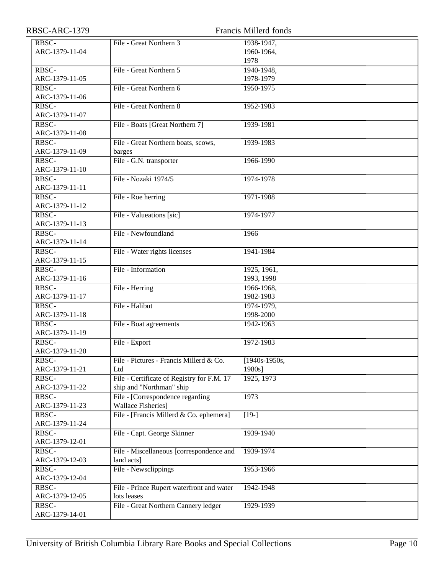| RBSC-ARC-1379  |                                            | Francis Millerd fonds |
|----------------|--------------------------------------------|-----------------------|
| RBSC-          | File - Great Northern 3                    | 1938-1947,            |
| ARC-1379-11-04 |                                            | 1960-1964,            |
|                |                                            | 1978                  |
| RBSC-          | File - Great Northern 5                    | 1940-1948,            |
| ARC-1379-11-05 |                                            | 1978-1979             |
| RBSC-          | File - Great Northern 6                    | 1950-1975             |
| ARC-1379-11-06 |                                            |                       |
| RBSC-          | File - Great Northern 8                    | 1952-1983             |
| ARC-1379-11-07 |                                            |                       |
| RBSC-          | File - Boats [Great Northern 7]            | 1939-1981             |
| ARC-1379-11-08 |                                            |                       |
| RBSC-          | File - Great Northern boats, scows,        | 1939-1983             |
| ARC-1379-11-09 | barges                                     |                       |
| RBSC-          | File - G.N. transporter                    | 1966-1990             |
| ARC-1379-11-10 |                                            |                       |
| RBSC-          | File - Nozaki 1974/5                       | 1974-1978             |
| ARC-1379-11-11 |                                            |                       |
| RBSC-          | File - Roe herring                         | 1971-1988             |
| ARC-1379-11-12 |                                            |                       |
| RBSC-          | File - Valueations [sic]                   | 1974-1977             |
| ARC-1379-11-13 |                                            |                       |
| RBSC-          | File - Newfoundland                        | 1966                  |
| ARC-1379-11-14 |                                            |                       |
| RBSC-          | File - Water rights licenses               | 1941-1984             |
| ARC-1379-11-15 |                                            |                       |
| RBSC-          | File - Information                         | 1925, 1961,           |
| ARC-1379-11-16 |                                            | 1993, 1998            |
| RBSC-          | File - Herring                             | 1966-1968,            |
| ARC-1379-11-17 |                                            | 1982-1983             |
| RBSC-          | File - Halibut                             | 1974-1979,            |
| ARC-1379-11-18 |                                            | 1998-2000             |
| RBSC-          | File - Boat agreements                     | 1942-1963             |
| ARC-1379-11-19 |                                            |                       |
| RBSC-          | File - Export                              | 1972-1983             |
| ARC-1379-11-20 |                                            |                       |
| RBSC-          | File - Pictures - Francis Millerd & Co.    | $\sqrt{1940s-1950s}$  |
| ARC-1379-11-21 | Ltd                                        | 1980s]                |
| RBSC-          | File - Certificate of Registry for F.M. 17 | 1925, 1973            |
| ARC-1379-11-22 | ship and "Northman" ship                   |                       |
| RBSC-          | File - [Correspondence regarding           | 1973                  |
| ARC-1379-11-23 | <b>Wallace Fisheries]</b>                  |                       |
| RBSC-          | File - [Francis Millerd & Co. ephemera]    | $\overline{[19-]}$    |
| ARC-1379-11-24 |                                            |                       |
| RBSC-          | File - Capt. George Skinner                | 1939-1940             |
| ARC-1379-12-01 |                                            |                       |
| RBSC-          | File - Miscellaneous [correspondence and   | 1939-1974             |
| ARC-1379-12-03 | land acts]                                 |                       |
| RBSC-          | File - Newsclippings                       | 1953-1966             |
| ARC-1379-12-04 |                                            |                       |
| RBSC-          | File - Prince Rupert waterfront and water  | 1942-1948             |
| ARC-1379-12-05 | lots leases                                |                       |
| RBSC-          | File - Great Northern Cannery ledger       | 1929-1939             |
| ARC-1379-14-01 |                                            |                       |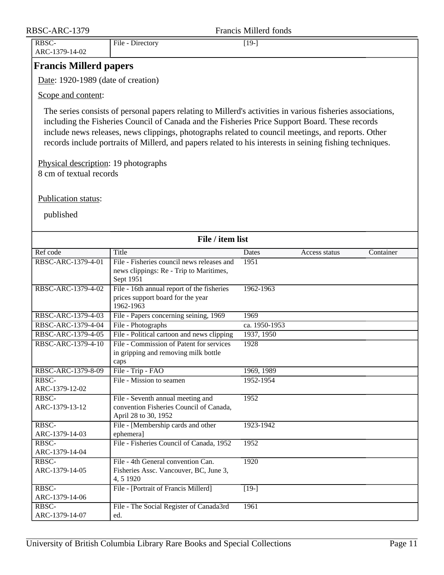<span id="page-10-0"></span>

| RBSC-ARC-1379                                                   |                                                                                                                                                                                                                                                                                                                                                                                                                                | <b>Francis Millerd fonds</b> |               |           |
|-----------------------------------------------------------------|--------------------------------------------------------------------------------------------------------------------------------------------------------------------------------------------------------------------------------------------------------------------------------------------------------------------------------------------------------------------------------------------------------------------------------|------------------------------|---------------|-----------|
| RBSC-<br>ARC-1379-14-02                                         | File - Directory                                                                                                                                                                                                                                                                                                                                                                                                               | $[19-]$                      |               |           |
| <b>Francis Millerd papers</b>                                   |                                                                                                                                                                                                                                                                                                                                                                                                                                |                              |               |           |
| Date: 1920-1989 (date of creation)                              |                                                                                                                                                                                                                                                                                                                                                                                                                                |                              |               |           |
| Scope and content:                                              |                                                                                                                                                                                                                                                                                                                                                                                                                                |                              |               |           |
|                                                                 | The series consists of personal papers relating to Millerd's activities in various fisheries associations,<br>including the Fisheries Council of Canada and the Fisheries Price Support Board. These records<br>include news releases, news clippings, photographs related to council meetings, and reports. Other<br>records include portraits of Millerd, and papers related to his interests in seining fishing techniques. |                              |               |           |
| Physical description: 19 photographs<br>8 cm of textual records |                                                                                                                                                                                                                                                                                                                                                                                                                                |                              |               |           |
| Publication status:                                             |                                                                                                                                                                                                                                                                                                                                                                                                                                |                              |               |           |
| published                                                       |                                                                                                                                                                                                                                                                                                                                                                                                                                |                              |               |           |
|                                                                 | File / item list                                                                                                                                                                                                                                                                                                                                                                                                               |                              |               |           |
| Ref code                                                        | Title                                                                                                                                                                                                                                                                                                                                                                                                                          | Dates                        | Access status | Container |
| RBSC-ARC-1379-4-01                                              | File - Fisheries council news releases and<br>news clippings: Re - Trip to Maritimes,<br>Sept 1951                                                                                                                                                                                                                                                                                                                             | 1951                         |               |           |
| RBSC-ARC-1379-4-02                                              | File - 16th annual report of the fisheries<br>prices support board for the year<br>1962-1963                                                                                                                                                                                                                                                                                                                                   | 1962-1963                    |               |           |
| RBSC-ARC-1379-4-03                                              | File - Papers concerning seining, 1969                                                                                                                                                                                                                                                                                                                                                                                         | 1969                         |               |           |
| RBSC-ARC-1379-4-04                                              | File - Photographs                                                                                                                                                                                                                                                                                                                                                                                                             | ca. 1950-1953                |               |           |
| RBSC-ARC-1379-4-05                                              | File - Political cartoon and news clipping                                                                                                                                                                                                                                                                                                                                                                                     | 1937, 1950                   |               |           |
| RBSC-ARC-1379-4-10                                              | File - Commission of Patent for services<br>in gripping and removing milk bottle<br>caps                                                                                                                                                                                                                                                                                                                                       | 1928                         |               |           |
| RBSC-ARC-1379-8-09                                              | File - Trip - FAO                                                                                                                                                                                                                                                                                                                                                                                                              | 1969, 1989                   |               |           |
| RBSC-<br>ARC-1379-12-02                                         | File - Mission to seamen                                                                                                                                                                                                                                                                                                                                                                                                       | 1952-1954                    |               |           |
| RBSC-<br>ARC-1379-13-12                                         | File - Seventh annual meeting and<br>convention Fisheries Council of Canada,<br>April 28 to 30, 1952                                                                                                                                                                                                                                                                                                                           | 1952                         |               |           |
| RBSC-<br>ARC-1379-14-03                                         | File - [Membership cards and other<br>ephemera]                                                                                                                                                                                                                                                                                                                                                                                | 1923-1942                    |               |           |
| RBSC-<br>ARC-1379-14-04                                         | File - Fisheries Council of Canada, 1952                                                                                                                                                                                                                                                                                                                                                                                       | 1952                         |               |           |
| RBSC-<br>ARC-1379-14-05                                         | File - 4th General convention Can.<br>Fisheries Assc. Vancouver, BC, June 3,<br>4, 5 1 9 2 0                                                                                                                                                                                                                                                                                                                                   | 1920                         |               |           |
| RBSC-<br>ARC-1379-14-06                                         | File - [Portrait of Francis Millerd]                                                                                                                                                                                                                                                                                                                                                                                           | $\overline{[19-]}$           |               |           |
| RBSC-<br>ARC-1379-14-07                                         | File - The Social Register of Canada3rd<br>ed.                                                                                                                                                                                                                                                                                                                                                                                 | 1961                         |               |           |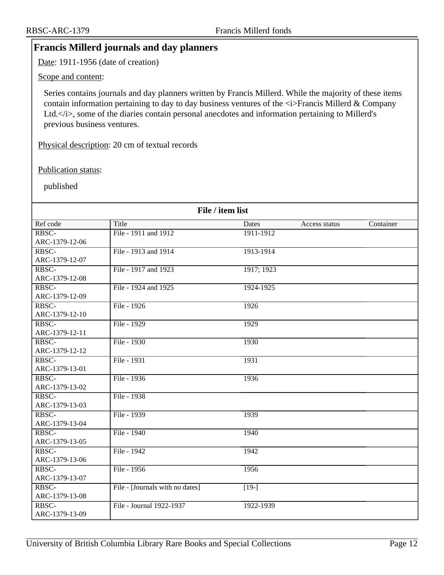## <span id="page-11-0"></span>**Francis Millerd journals and day planners**

Date: 1911-1956 (date of creation)

Scope and content:

Series contains journals and day planners written by Francis Millerd. While the majority of these items contain information pertaining to day to day business ventures of the  $\langle i \rangle$ Francis Millerd & Company Ltd. $\langle i \rangle$ , some of the diaries contain personal anecdotes and information pertaining to Millerd's previous business ventures.

Physical description: 20 cm of textual records

Publication status:

published

|                | File / item list                |              |               |           |  |
|----------------|---------------------------------|--------------|---------------|-----------|--|
| Ref code       | Title                           | <b>Dates</b> | Access status | Container |  |
| RBSC-          | File - 1911 and 1912            | 1911-1912    |               |           |  |
| ARC-1379-12-06 |                                 |              |               |           |  |
| RBSC-          | File - 1913 and 1914            | 1913-1914    |               |           |  |
| ARC-1379-12-07 |                                 |              |               |           |  |
| RBSC-          | File - 1917 and 1923            | 1917; 1923   |               |           |  |
| ARC-1379-12-08 |                                 |              |               |           |  |
| RBSC-          | File - 1924 and 1925            | 1924-1925    |               |           |  |
| ARC-1379-12-09 |                                 |              |               |           |  |
| RBSC-          | File - 1926                     | 1926         |               |           |  |
| ARC-1379-12-10 |                                 |              |               |           |  |
| RBSC-          | File - 1929                     | 1929         |               |           |  |
| ARC-1379-12-11 |                                 |              |               |           |  |
| RBSC-          | File - 1930                     | 1930         |               |           |  |
| ARC-1379-12-12 |                                 |              |               |           |  |
| RBSC-          | File - 1931                     | 1931         |               |           |  |
| ARC-1379-13-01 |                                 |              |               |           |  |
| RBSC-          | File - 1936                     | 1936         |               |           |  |
| ARC-1379-13-02 |                                 |              |               |           |  |
| RBSC-          | File - 1938                     |              |               |           |  |
| ARC-1379-13-03 |                                 |              |               |           |  |
| RBSC-          | File - 1939                     | 1939         |               |           |  |
| ARC-1379-13-04 |                                 |              |               |           |  |
| RBSC-          | File - 1940                     | 1940         |               |           |  |
| ARC-1379-13-05 |                                 |              |               |           |  |
| RBSC-          | File - 1942                     | 1942         |               |           |  |
| ARC-1379-13-06 |                                 |              |               |           |  |
| RBSC-          | File - 1956                     | 1956         |               |           |  |
| ARC-1379-13-07 |                                 |              |               |           |  |
| RBSC-          | File - [Journals with no dates] | $[19-]$      |               |           |  |
| ARC-1379-13-08 |                                 |              |               |           |  |
| RBSC-          | File - Journal 1922-1937        | 1922-1939    |               |           |  |
| ARC-1379-13-09 |                                 |              |               |           |  |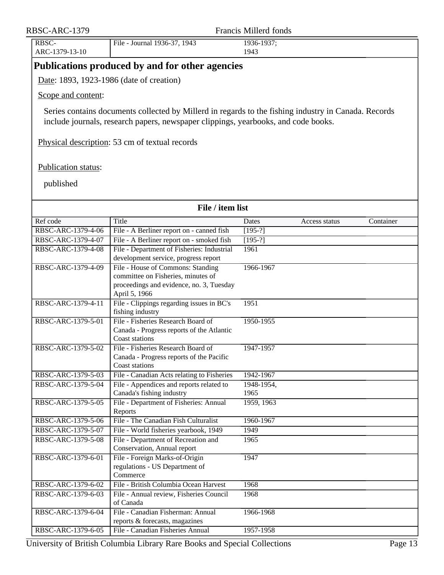<span id="page-12-0"></span>

| RBSC-ARC-1379           |                                                                                                                                                                                            | Francis Millerd fonds |               |           |
|-------------------------|--------------------------------------------------------------------------------------------------------------------------------------------------------------------------------------------|-----------------------|---------------|-----------|
| RBSC-<br>ARC-1379-13-10 | File - Journal 1936-37, 1943                                                                                                                                                               | 1936-1937;<br>1943    |               |           |
|                         | Publications produced by and for other agencies                                                                                                                                            |                       |               |           |
|                         | Date: 1893, 1923-1986 (date of creation)                                                                                                                                                   |                       |               |           |
| Scope and content:      |                                                                                                                                                                                            |                       |               |           |
|                         | Series contains documents collected by Millerd in regards to the fishing industry in Canada. Records<br>include journals, research papers, newspaper clippings, yearbooks, and code books. |                       |               |           |
|                         | Physical description: 53 cm of textual records                                                                                                                                             |                       |               |           |
| Publication status:     |                                                                                                                                                                                            |                       |               |           |
| published               |                                                                                                                                                                                            |                       |               |           |
|                         | File / item list                                                                                                                                                                           |                       |               |           |
| Ref code                | Title                                                                                                                                                                                      | Dates                 | Access status | Container |
| RBSC-ARC-1379-4-06      | File - A Berliner report on - canned fish                                                                                                                                                  | $[195-?]$             |               |           |
| RBSC-ARC-1379-4-07      | File - A Berliner report on - smoked fish                                                                                                                                                  | $[195-?]$             |               |           |
| RBSC-ARC-1379-4-08      | File - Department of Fisheries: Industrial<br>development service, progress report                                                                                                         | 1961                  |               |           |
| RBSC-ARC-1379-4-09      | File - House of Commons: Standing<br>committee on Fisheries, minutes of<br>proceedings and evidence, no. 3, Tuesday<br>April 5, 1966                                                       | 1966-1967             |               |           |
| RBSC-ARC-1379-4-11      | File - Clippings regarding issues in BC's<br>fishing industry                                                                                                                              | 1951                  |               |           |
| RBSC-ARC-1379-5-01      | File - Fisheries Research Board of<br>Canada - Progress reports of the Atlantic<br>Coast stations                                                                                          | 1950-1955             |               |           |
| RBSC-ARC-1379-5-02      | File - Fisheries Research Board of<br>Canada - Progress reports of the Pacific<br><b>Coast stations</b>                                                                                    | 1947-1957             |               |           |
| RBSC-ARC-1379-5-03      | File - Canadian Acts relating to Fisheries                                                                                                                                                 | 1942-1967             |               |           |
| RBSC-ARC-1379-5-04      | File - Appendices and reports related to<br>Canada's fishing industry                                                                                                                      | 1948-1954,<br>1965    |               |           |
| RBSC-ARC-1379-5-05      | File - Department of Fisheries: Annual<br>Reports                                                                                                                                          | 1959, 1963            |               |           |
| RBSC-ARC-1379-5-06      | File - The Canadian Fish Culturalist                                                                                                                                                       | 1960-1967             |               |           |
| RBSC-ARC-1379-5-07      | File - World fisheries yearbook, 1949                                                                                                                                                      | 1949                  |               |           |
| RBSC-ARC-1379-5-08      | File - Department of Recreation and                                                                                                                                                        | 1965                  |               |           |
| RBSC-ARC-1379-6-01      | Conservation, Annual report<br>File - Foreign Marks-of-Origin<br>regulations - US Department of<br>Commerce                                                                                | 1947                  |               |           |
| RBSC-ARC-1379-6-02      | File - British Columbia Ocean Harvest                                                                                                                                                      | 1968                  |               |           |
| RBSC-ARC-1379-6-03      | File - Annual review, Fisheries Council<br>of Canada                                                                                                                                       | 1968                  |               |           |
| RBSC-ARC-1379-6-04      | File - Canadian Fisherman: Annual<br>reports & forecasts, magazines                                                                                                                        | 1966-1968             |               |           |
| RBSC-ARC-1379-6-05      | File - Canadian Fisheries Annual                                                                                                                                                           | 1957-1958             |               |           |

University of British Columbia Library Rare Books and Special Collections Page 13